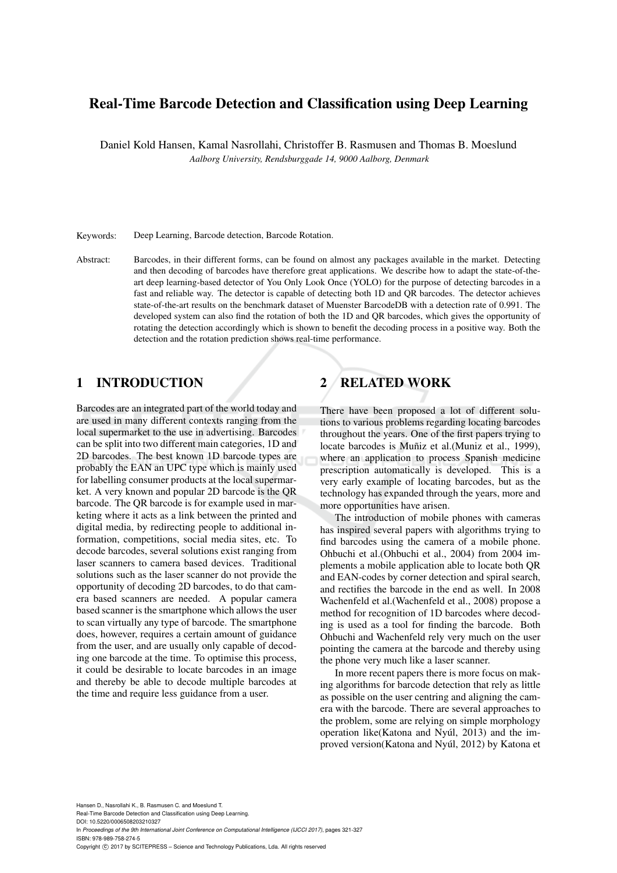# Real-Time Barcode Detection and Classification using Deep Learning

Daniel Kold Hansen, Kamal Nasrollahi, Christoffer B. Rasmusen and Thomas B. Moeslund *Aalborg University, Rendsburggade 14, 9000 Aalborg, Denmark*

Keywords: Deep Learning, Barcode detection, Barcode Rotation.

Abstract: Barcodes, in their different forms, can be found on almost any packages available in the market. Detecting and then decoding of barcodes have therefore great applications. We describe how to adapt the state-of-theart deep learning-based detector of You Only Look Once (YOLO) for the purpose of detecting barcodes in a fast and reliable way. The detector is capable of detecting both 1D and QR barcodes. The detector achieves state-of-the-art results on the benchmark dataset of Muenster BarcodeDB with a detection rate of 0.991. The developed system can also find the rotation of both the 1D and QR barcodes, which gives the opportunity of rotating the detection accordingly which is shown to benefit the decoding process in a positive way. Both the detection and the rotation prediction shows real-time performance.

## 1 INTRODUCTION

Barcodes are an integrated part of the world today and are used in many different contexts ranging from the local supermarket to the use in advertising. Barcodes can be split into two different main categories, 1D and 2D barcodes. The best known 1D barcode types are probably the EAN an UPC type which is mainly used for labelling consumer products at the local supermarket. A very known and popular 2D barcode is the QR barcode. The QR barcode is for example used in marketing where it acts as a link between the printed and digital media, by redirecting people to additional information, competitions, social media sites, etc. To decode barcodes, several solutions exist ranging from laser scanners to camera based devices. Traditional solutions such as the laser scanner do not provide the opportunity of decoding 2D barcodes, to do that camera based scanners are needed. A popular camera based scanner is the smartphone which allows the user to scan virtually any type of barcode. The smartphone does, however, requires a certain amount of guidance from the user, and are usually only capable of decoding one barcode at the time. To optimise this process, it could be desirable to locate barcodes in an image and thereby be able to decode multiple barcodes at the time and require less guidance from a user.

# 2 RELATED WORK

There have been proposed a lot of different solutions to various problems regarding locating barcodes throughout the years. One of the first papers trying to locate barcodes is Muñiz et al.(Muniz et al., 1999), where an application to process Spanish medicine prescription automatically is developed. This is a very early example of locating barcodes, but as the technology has expanded through the years, more and more opportunities have arisen.

The introduction of mobile phones with cameras has inspired several papers with algorithms trying to find barcodes using the camera of a mobile phone. Ohbuchi et al.(Ohbuchi et al., 2004) from 2004 implements a mobile application able to locate both QR and EAN-codes by corner detection and spiral search, and rectifies the barcode in the end as well. In 2008 Wachenfeld et al.(Wachenfeld et al., 2008) propose a method for recognition of 1D barcodes where decoding is used as a tool for finding the barcode. Both Ohbuchi and Wachenfeld rely very much on the user pointing the camera at the barcode and thereby using the phone very much like a laser scanner.

In more recent papers there is more focus on making algorithms for barcode detection that rely as little as possible on the user centring and aligning the camera with the barcode. There are several approaches to the problem, some are relying on simple morphology operation like(Katona and Nyúl,  $2013$ ) and the improved version(Katona and Nyúl, 2012) by Katona et

Hansen D., Nasrollahi K., B. Rasmusen C. and Moeslund T. Real-Time Barcode Detection and Classification using Deep Learning. DOI: 10.5220/0006508203210327 In *Proceedings of the 9th International Joint Conference on Computational Intelligence (IJCCI 2017)*, pages 321-327 ISBN: 978-989-758-274-5 Copyright © 2017 by SCITEPRESS - Science and Technology Publications, Lda. All rights reserved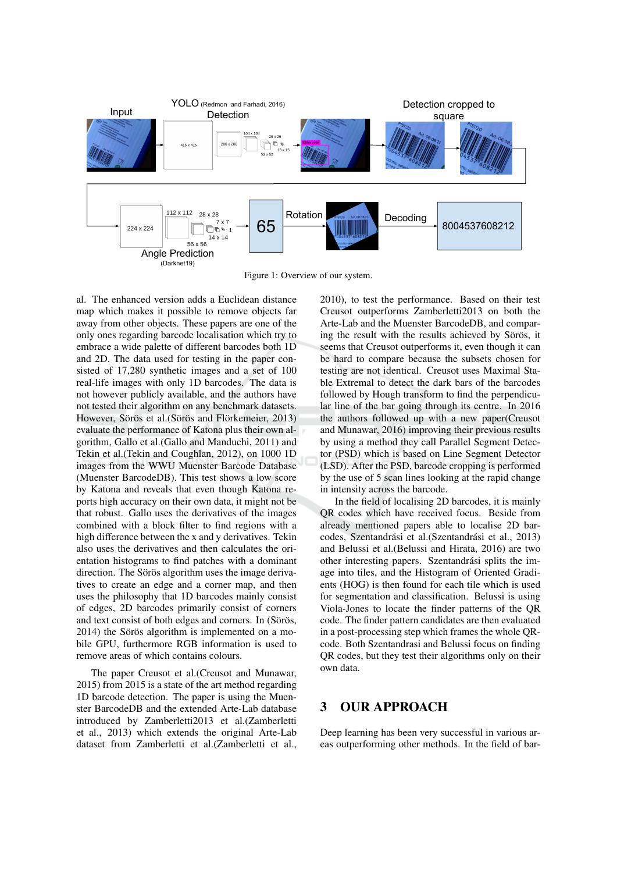

Figure 1: Overview of our system.

al. The enhanced version adds a Euclidean distance map which makes it possible to remove objects far away from other objects. These papers are one of the only ones regarding barcode localisation which try to embrace a wide palette of different barcodes both 1D and 2D. The data used for testing in the paper consisted of 17,280 synthetic images and a set of 100 real-life images with only 1D barcodes. The data is not however publicly available, and the authors have not tested their algorithm on any benchmark datasets. However, Sörös et al. (Sörös and Flörkemeier, 2013) evaluate the performance of Katona plus their own algorithm, Gallo et al. (Gallo and Manduchi, 2011) and Tekin et al. (Tekin and Coughlan, 2012), on 1000 1D images from the WWU Muenster Barcode Database (Muenster BarcodeDB). This test shows a low score by Katona and reveals that even though Katona reports high accuracy on their own data, it might not be that robust. Gallo uses the derivatives of the images combined with a block filter to find regions with a high difference between the x and y derivatives. Tekin also uses the derivatives and then calculates the orientation histograms to find patches with a dominant direction. The Sörös algorithm uses the image derivatives to create an edge and a corner map, and then uses the philosophy that 1D barcodes mainly consist of edges. 2D barcodes primarily consist of corners and text consist of both edges and corners. In (Sörös, 2014) the Sörös algorithm is implemented on a mobile GPU, furthermore RGB information is used to remove areas of which contains colours.

The paper Creusot et al.(Creusot and Munawar, 2015) from 2015 is a state of the art method regarding 1D barcode detection. The paper is using the Muenster BarcodeDB and the extended Arte-Lab database introduced by Zamberletti2013 et al.(Zamberletti et al., 2013) which extends the original Arte-Lab dataset from Zamberletti et al. (Zamberletti et al.,

2010), to test the performance. Based on their test Creusot outperforms Zamberletti2013 on both the Arte-Lab and the Muenster BarcodeDB, and comparing the result with the results achieved by Sörös, it seems that Creusot outperforms it, even though it can be hard to compare because the subsets chosen for testing are not identical. Creusot uses Maximal Stable Extremal to detect the dark bars of the barcodes followed by Hough transform to find the perpendicular line of the bar going through its centre. In 2016 the authors followed up with a new paper(Creusot and Munawar, 2016) improving their previous results by using a method they call Parallel Segment Detector (PSD) which is based on Line Segment Detector (LSD). After the PSD, barcode cropping is performed by the use of 5 scan lines looking at the rapid change in intensity across the barcode.

In the field of localising 2D barcodes, it is mainly QR codes which have received focus. Beside from already mentioned papers able to localise 2D barcodes, Szentandrási et al.(Szentandrási et al., 2013) and Belussi et al. (Belussi and Hirata, 2016) are two other interesting papers. Szentandrási splits the image into tiles, and the Histogram of Oriented Gradients (HOG) is then found for each tile which is used for segmentation and classification. Belussi is using Viola-Jones to locate the finder patterns of the QR code. The finder pattern candidates are then evaluated in a post-processing step which frames the whole QRcode. Both Szentandrasi and Belussi focus on finding QR codes, but they test their algorithms only on their own data.

#### 3 **OUR APPROACH**

Deep learning has been very successful in various areas outperforming other methods. In the field of bar-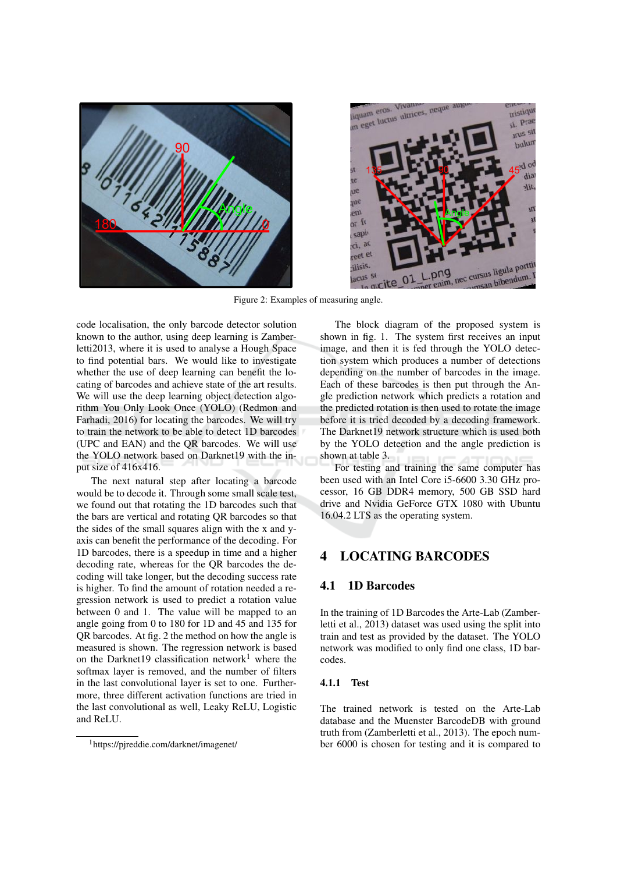



Figure 2: Examples of measuring angle.

code localisation, the only barcode detector solution known to the author, using deep learning is Zamberletti2013, where it is used to analyse a Hough Space to find potential bars. We would like to investigate whether the use of deep learning can benefit the locating of barcodes and achieve state of the art results. We will use the deep learning object detection algorithm You Only Look Once (YOLO) (Redmon and Farhadi, 2016) for locating the barcodes. We will try to train the network to be able to detect 1D barcodes (UPC and EAN) and the QR barcodes. We will use the YOLO network based on Darknet19 with the input size of 416x416.

The next natural step after locating a barcode would be to decode it. Through some small scale test, we found out that rotating the 1D barcodes such that the bars are vertical and rotating OR barcodes so that the sides of the small squares align with the x and yaxis can benefit the performance of the decoding. For 1D barcodes, there is a speedup in time and a higher decoding rate, whereas for the OR barcodes the decoding will take longer, but the decoding success rate is higher. To find the amount of rotation needed a regression network is used to predict a rotation value between 0 and 1. The value will be mapped to an angle going from 0 to 180 for 1D and 45 and 135 for QR barcodes. At fig. 2 the method on how the angle is measured is shown. The regression network is based on the Darknet19 classification network<sup>1</sup> where the softmax layer is removed, and the number of filters in the last convolutional layer is set to one. Furthermore, three different activation functions are tried in the last convolutional as well, Leaky ReLU, Logistic and ReLU.

The block diagram of the proposed system is shown in fig. 1. The system first receives an input image, and then it is fed through the YOLO detection system which produces a number of detections depending on the number of barcodes in the image. Each of these barcodes is then put through the Angle prediction network which predicts a rotation and the predicted rotation is then used to rotate the image before it is tried decoded by a decoding framework. The Darknet19 network structure which is used both by the YOLO detection and the angle prediction is shown at table 3.

For testing and training the same computer has been used with an Intel Core i5-6600 3.30 GHz processor, 16 GB DDR4 memory, 500 GB SSD hard drive and Nvidia GeForce GTX 1080 with Ubuntu 16.04.2 LTS as the operating system.

#### **LOCATING BARCODES** Δ

#### **1D Barcodes**  $4.1$

In the training of 1D Barcodes the Arte-Lab (Zamberletti et al., 2013) dataset was used using the split into train and test as provided by the dataset. The YOLO network was modified to only find one class, 1D barcodes.

### 4.1.1 Test

The trained network is tested on the Arte-Lab database and the Muenster BarcodeDB with ground truth from (Zamberletti et al., 2013). The epoch number 6000 is chosen for testing and it is compared to

<sup>&</sup>lt;sup>1</sup>https://pireddie.com/darknet/imagenet/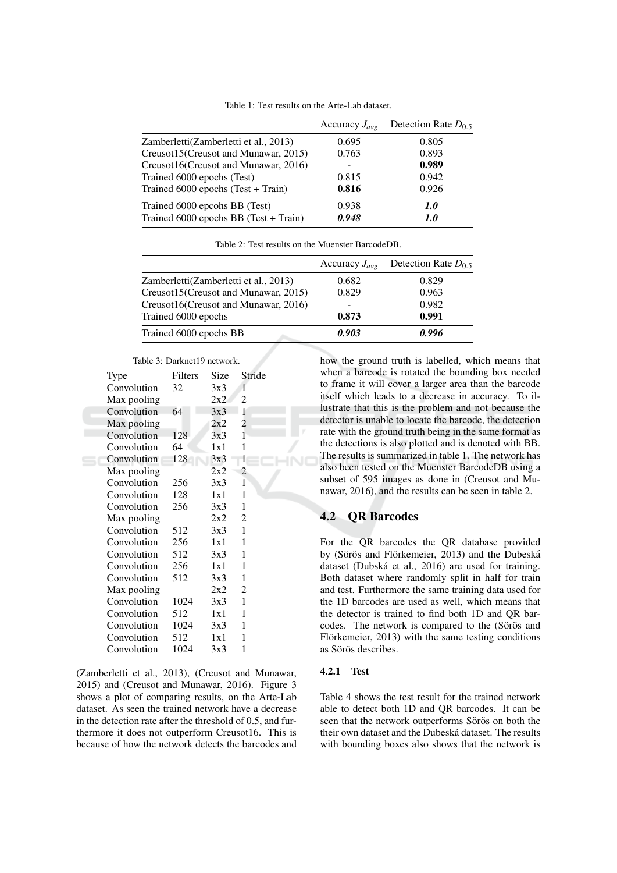|                                         | Accuracy $J_{\alpha\nu\rho}$ | Detection Rate $D_0$ 5 |
|-----------------------------------------|------------------------------|------------------------|
| Zamberletti (Zamberletti et al., 2013)  | 0.695                        | 0.805                  |
| Creusot15(Creusot and Munawar, 2015)    | 0.763                        | 0.893                  |
| Creusot16(Creusot and Munawar, 2016)    |                              | 0.989                  |
| Trained 6000 epochs (Test)              | 0.815                        | 0.942                  |
| Trained 6000 epochs (Test + Train)      | 0.816                        | 0.926                  |
| Trained 6000 epcohs BB (Test)           | 0.938                        | 1.0                    |
| Trained $6000$ epochs BB (Test + Train) | 0.948                        | 1.0                    |

Table 1: Test results on the Arte-Lab dataset.

Table 2: Test results on the Muenster BarcodeDB.

|                                       | Accuracy $J_{\text{ave}}$ | Detection Rate $D_{0.5}$ |
|---------------------------------------|---------------------------|--------------------------|
| Zamberletti(Zamberletti et al., 2013) | 0.682                     | 0.829                    |
| Creusot15(Creusot and Munawar, 2015)  | 0.829                     | 0.963                    |
| Creusot16(Creusot and Munawar, 2016)  |                           | 0.982                    |
| Trained 6000 epochs                   | 0.873                     | 0.991                    |
| Trained 6000 epochs BB                | 0.903                     | 0.996                    |
|                                       |                           |                          |

### Table 3: Darknet10 network

| Type        | Filters | Size | Stride         |  |  |  |  |
|-------------|---------|------|----------------|--|--|--|--|
| Convolution | 32      | 3x3  | 1              |  |  |  |  |
| Max pooling |         | 2x2  | 2              |  |  |  |  |
| Convolution | 64      | 3x3  | 1              |  |  |  |  |
| Max pooling |         | 2x2  | $\overline{c}$ |  |  |  |  |
| Convolution | 128     | 3x3  | $\mathbf{1}$   |  |  |  |  |
| Convolution | 64      | 1x1  | 1              |  |  |  |  |
| Convolution | 128     | 3x3  | 1              |  |  |  |  |
| Max pooling |         | 2x2  | 2              |  |  |  |  |
| Convolution | 256     | 3x3  | 1              |  |  |  |  |
| Convolution | 128     | 1x1  | 1              |  |  |  |  |
| Convolution | 256     | 3x3  | 1              |  |  |  |  |
| Max pooling |         | 2x2  | $\overline{2}$ |  |  |  |  |
| Convolution | 512     | 3x3  | 1              |  |  |  |  |
| Convolution | 256     | 1x1  | 1              |  |  |  |  |
| Convolution | 512     | 3x3  | 1              |  |  |  |  |
| Convolution | 256     | 1x1  | 1              |  |  |  |  |
| Convolution | 512     | 3x3  | 1              |  |  |  |  |
| Max pooling |         | 2x2  | $\overline{c}$ |  |  |  |  |
| Convolution | 1024    | 3x3  | 1              |  |  |  |  |
| Convolution | 512     | 1x1  | 1              |  |  |  |  |
| Convolution | 1024    | 3x3  | 1              |  |  |  |  |
| Convolution | 512     | 1x1  | 1              |  |  |  |  |
| Convolution | 1024    | 3x3  | 1              |  |  |  |  |
|             |         |      |                |  |  |  |  |

(Zamberletti et al., 2013), (Creusot and Munawar, 2015) and (Creusot and Munawar, 2016). Figure 3 shows a plot of comparing results, on the Arte-Lab dataset. As seen the trained network have a decrease in the detection rate after the threshold of 0.5, and furthermore it does not outperform Creusot16. This is because of how the network detects the barcodes and how the ground truth is labelled, which means that when a barcode is rotated the bounding box needed to frame it will cover a larger area than the barcode itself which leads to a decrease in accuracy. To illustrate that this is the problem and not because the detector is unable to locate the barcode, the detection rate with the ground truth being in the same format as the detections is also plotted and is denoted with BB. The results is summarized in table 1. The network has also been tested on the Muenster BarcodeDB using a subset of 595 images as done in (Creusot and Munawar, 2016), and the results can be seen in table 2.

### **4.2 OR Barcodes**

For the QR barcodes the QR database provided by (Sörös and Flörkemeier, 2013) and the Dubeská dataset (Dubská et al., 2016) are used for training. Both dataset where randomly split in half for train and test. Furthermore the same training data used for the 1D barcodes are used as well, which means that the detector is trained to find both 1D and QR barcodes. The network is compared to the (Sörös and Flörkemeier, 2013) with the same testing conditions as Sörös describes.

### 4.2.1 Test

Table 4 shows the test result for the trained network able to detect both 1D and QR barcodes. It can be seen that the network outperforms Sörös on both the their own dataset and the Dubeská dataset. The results with bounding boxes also shows that the network is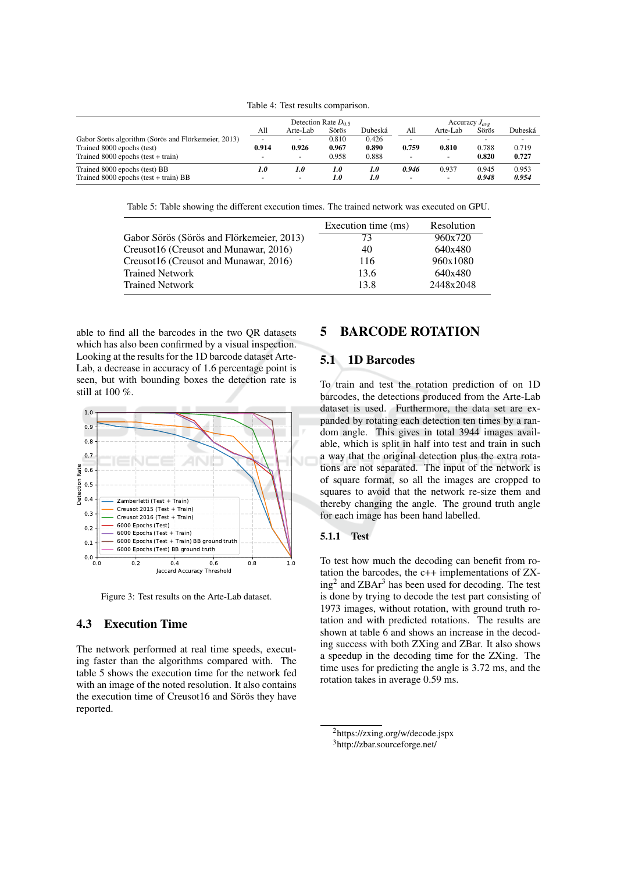Table 4: Test results comparison.

|                                                     | Detection Rate $D_0$ s   |                          |       | Accuracy $J_{\alpha\nu\rho}$ |                          |                          |       |         |
|-----------------------------------------------------|--------------------------|--------------------------|-------|------------------------------|--------------------------|--------------------------|-------|---------|
|                                                     | All                      | Arte-Lab                 | Sörös | Dubeská                      | All                      | Arte-Lab                 | Sörös | Dubeská |
| Gabor Sörös algorithm (Sörös and Flörkemeier, 2013) | $\overline{\phantom{0}}$ | -                        | 0.810 | 0.426                        |                          |                          |       |         |
| Trained 8000 epochs (test)                          | 0.914                    | 0.926                    | 0.967 | 0.890                        | 0.759                    | 0.810                    | 0.788 | 0.719   |
| Trained $8000$ epochs (test + train)                | $\overline{\phantom{0}}$ | $\overline{\phantom{0}}$ | 0.958 | 0.888                        |                          | $\overline{\phantom{0}}$ | 0.820 | 0.727   |
| Trained 8000 epochs (test) BB                       | 1.0                      | 1.0                      | 1.0   | 1.0                          | 0.946                    | 0.937                    | 0.945 | 0.953   |
| Trained $8000$ epochs (test + train) BB             | $\sim$                   | $\overline{a}$           | 1.0   | 1.0                          | $\overline{\phantom{0}}$ | $\overline{\phantom{0}}$ | 0.948 | 0.954   |

Table 5: Table showing the different execution times. The trained network was executed on GPU.

|                                           | Execution time (ms) | Resolution |
|-------------------------------------------|---------------------|------------|
| Gabor Sörös (Sörös and Flörkemeier, 2013) | 73                  | 960x720    |
| Creusot16 (Creusot and Munawar, 2016)     | 40                  | 640x480    |
| Creusot16 (Creusot and Munawar, 2016)     | 116                 | 960x1080   |
| <b>Trained Network</b>                    | 13.6                | 640x480    |
| <b>Trained Network</b>                    | 13.8                | 2448x2048  |

able to find all the barcodes in the two OR datasets which has also been confirmed by a visual inspection. Looking at the results for the 1D barcode dataset Arte-Lab, a decrease in accuracy of 1.6 percentage point is seen, but with bounding boxes the detection rate is still at 100 %.



Figure 3: Test results on the Arte-Lab dataset.

## **4.3** Execution Time

The network performed at real time speeds, executing faster than the algorithms compared with. The table 5 shows the execution time for the network fed with an image of the noted resolution. It also contains the execution time of Creusot16 and Sörös they have reported.

### **BARCODE ROTATION** 5

### 5.1 1D Barcodes

To train and test the rotation prediction of on 1D barcodes, the detections produced from the Arte-Lab dataset is used. Furthermore, the data set are expanded by rotating each detection ten times by a random angle. This gives in total 3944 images available, which is split in half into test and train in such a way that the original detection plus the extra rotations are not separated. The input of the network is of square format, so all the images are cropped to squares to avoid that the network re-size them and thereby changing the angle. The ground truth angle for each image has been hand labelled.

#### 5.1.1 **Test**

To test how much the decoding can benefit from rotation the barcodes, the  $c++$  implementations of  $ZX$  $ing<sup>2</sup>$  and ZBA $r<sup>3</sup>$  has been used for decoding. The test is done by trying to decode the test part consisting of 1973 images, without rotation, with ground truth rotation and with predicted rotations. The results are shown at table 6 and shows an increase in the decoding success with both ZXing and ZBar. It also shows a speedup in the decoding time for the ZXing. The time uses for predicting the angle is 3.72 ms, and the rotation takes in average 0.59 ms.

 $^{2}$ https://zxing.org/w/decode.jspx

<sup>&</sup>lt;sup>3</sup>http://zbar.sourceforge.net/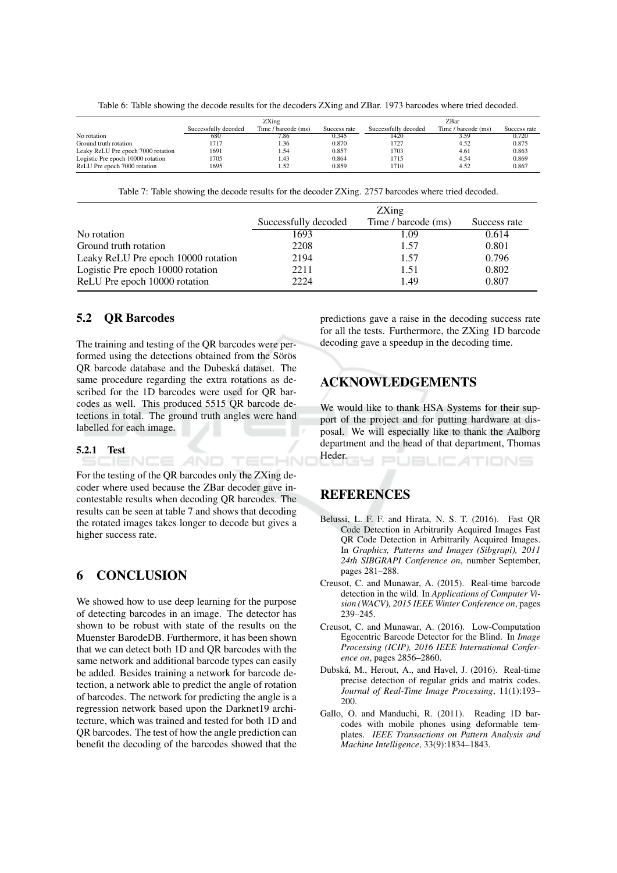Table 6: Table showing the decode results for the decoders ZXing and ZBar. 1973 barcodes where tried decoded.

|                                    | ZXing                |                     |              | ZBar                 |                     |              |  |
|------------------------------------|----------------------|---------------------|--------------|----------------------|---------------------|--------------|--|
|                                    | Successfully decoded | Time / barcode (ms) | Success rate | Successfully decoded | Time / barcode (ms) | Success rate |  |
| No rotation                        | 680                  | 7.86                | 0.345        | 1420                 | 3.59                | 0.720        |  |
| Ground truth rotation              | 1717                 | 1.36                | 0.870        | 1727                 | 4.52                | 0.875        |  |
| Leaky ReLU Pre epoch 7000 rotation | 1691                 | . 54                | 0.857        | 1703                 | 4.61                | 0.863        |  |
| Logistic Pre epoch 10000 rotation  | 1705                 | 1.43                | 0.864        | 1715                 | 4.54                | 0.869        |  |
| ReLU Pre epoch 7000 rotation       | 1695                 | 1.52                | 0.859        | 1710                 | 4.52                | 0.867        |  |

Table 7: Table showing the decode results for the decoder ZXing. 2757 barcodes where tried decoded.

|                                     | ZXing                |                     |              |  |  |  |
|-------------------------------------|----------------------|---------------------|--------------|--|--|--|
|                                     | Successfully decoded | Time / barcode (ms) | Success rate |  |  |  |
| No rotation                         | 1693                 | 1.09                | 0.614        |  |  |  |
| Ground truth rotation               | 2208                 | 1.57                | 0.801        |  |  |  |
| Leaky ReLU Pre epoch 10000 rotation | 2194                 | 1.57                | 0.796        |  |  |  |
| Logistic Pre epoch 10000 rotation   | 2211                 | 1.51                | 0.802        |  |  |  |
| ReLU Pre epoch 10000 rotation       | 2224                 | 1.49                | 0.807        |  |  |  |

НN

#### $5.2$ **QR** Barcodes

The training and testing of the QR barcodes were performed using the detections obtained from the Sörös QR barcode database and the Dubeská dataset. The same procedure regarding the extra rotations as described for the 1D barcodes were used for QR barcodes as well. This produced 5515 OR barcode detections in total. The ground truth angles were hand labelled for each image.

### **5.2.1 Test**

For the testing of the QR barcodes only the ZXing decoder where used because the ZBar decoder gave incontestable results when decoding QR barcodes. The results can be seen at table 7 and shows that decoding the rotated images takes longer to decode but gives a higher success rate.

NCE *A*ND TEC

#### 6 **CONCLUSION**

We showed how to use deep learning for the purpose of detecting barcodes in an image. The detector has shown to be robust with state of the results on the Muenster BarodeDB. Furthermore, it has been shown that we can detect both 1D and QR barcodes with the same network and additional barcode types can easily be added. Besides training a network for barcode detection, a network able to predict the angle of rotation of barcodes. The network for predicting the angle is a regression network based upon the Darknet19 architecture, which was trained and tested for both 1D and QR barcodes. The test of how the angle prediction can benefit the decoding of the barcodes showed that the

predictions gave a raise in the decoding success rate for all the tests. Furthermore, the ZXing 1D barcode decoding gave a speedup in the decoding time.

## **ACKNOWLEDGEMENTS**

We would like to thank HSA Systems for their support of the project and for putting hardware at disposal. We will especially like to thank the Aalborg department and the head of that department, Thomas Heder.

TIONS

## **REFERENCES**

- Belussi, L. F. F. and Hirata, N. S. T. (2016). Fast QR Code Detection in Arbitrarily Acquired Images Fast QR Code Detection in Arbitrarily Acquired Images. In Graphics, Patterns and Images (Sibgrapi), 2011 24th SIBGRAPI Conference on, number September, pages 281-288.
- Creusot, C. and Munawar, A. (2015). Real-time barcode detection in the wild. In Applications of Computer Vision (WACV), 2015 IEEE Winter Conference on, pages 239-245.
- Creusot, C. and Munawar, A. (2016). Low-Computation Egocentric Barcode Detector for the Blind. In Image Processing (ICIP), 2016 IEEE International Conference on, pages 2856-2860.
- Dubská, M., Herout, A., and Havel, J. (2016). Real-time precise detection of regular grids and matrix codes. Journal of Real-Time Image Processing, 11(1):193– 200
- Gallo, O. and Manduchi, R. (2011). Reading 1D barcodes with mobile phones using deformable templates. IEEE Transactions on Pattern Analysis and Machine Intelligence, 33(9):1834-1843.